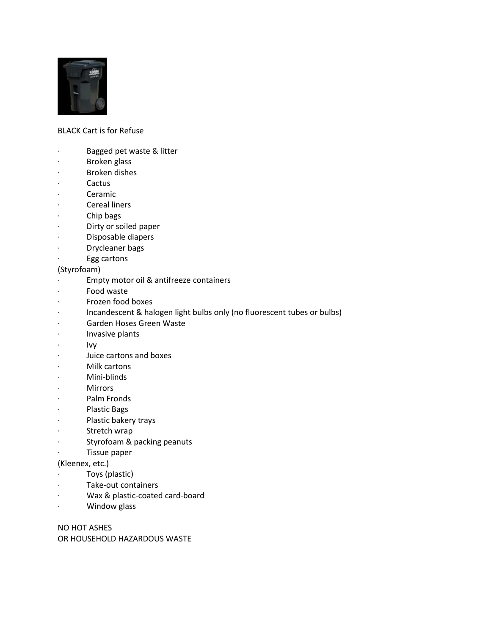

## BLACK Cart is for Refuse

- · Bagged pet waste & litter
- · Broken glass
- · Broken dishes
- · Cactus
- · Ceramic
- · Cereal liners
- · Chip bags
- · Dirty or soiled paper
- · Disposable diapers
- · Drycleaner bags
- Egg cartons
- (Styrofoam)
- · Empty motor oil & antifreeze containers
- Food waste
- · Frozen food boxes
- · Incandescent & halogen light bulbs only (no fluorescent tubes or bulbs)
- Garden Hoses Green Waste
- · Invasive plants
- · Ivy
- · Juice cartons and boxes
- Milk cartons
- · Mini-blinds
- **Mirrors**
- · Palm Fronds
- · Plastic Bags
- · Plastic bakery trays
- · Stretch wrap
- · Styrofoam & packing peanuts
- · Tissue paper

(Kleenex, etc.)

- · Toys (plastic)
- · Take-out containers
- · Wax & plastic-coated card-board
- · Window glass

NO HOT ASHES OR HOUSEHOLD HAZARDOUS WASTE